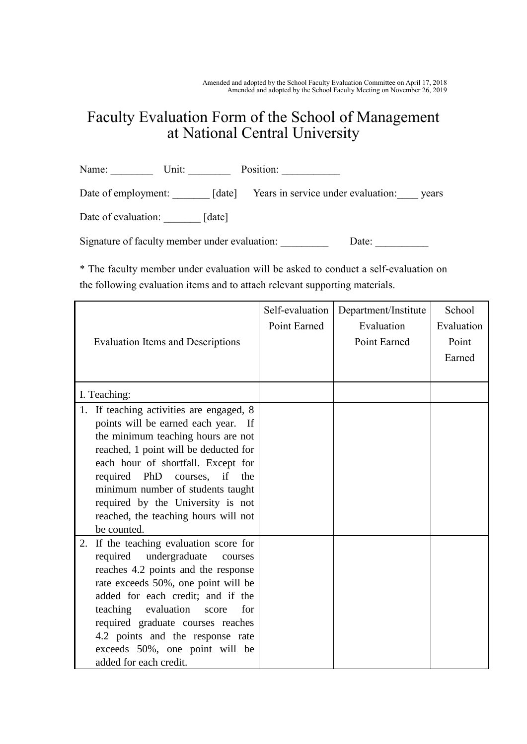## Faculty Evaluation Form of the School of Management at National Central University

Name: Unit: Unit: Position: Date of employment: \_\_\_\_\_\_\_ [date] Years in service under evaluation: \_\_\_\_ years Date of evaluation: [date]

Signature of faculty member under evaluation: \_\_\_\_\_\_\_\_\_\_ Date: \_\_\_\_\_\_\_\_\_

\* The faculty member under evaluation will be asked to conduct a self-evaluation on the following evaluation items and to attach relevant supporting materials.

|                                            | Self-evaluation | Department/Institute | School     |
|--------------------------------------------|-----------------|----------------------|------------|
|                                            | Point Earned    | Evaluation           | Evaluation |
| <b>Evaluation Items and Descriptions</b>   |                 | Point Earned         | Point      |
|                                            |                 |                      | Earned     |
|                                            |                 |                      |            |
| I. Teaching:                               |                 |                      |            |
| 1. If teaching activities are engaged, 8   |                 |                      |            |
| points will be earned each year. If        |                 |                      |            |
| the minimum teaching hours are not         |                 |                      |            |
| reached, 1 point will be deducted for      |                 |                      |            |
| each hour of shortfall. Except for         |                 |                      |            |
| required PhD<br>courses, if<br>the         |                 |                      |            |
| minimum number of students taught          |                 |                      |            |
| required by the University is not          |                 |                      |            |
| reached, the teaching hours will not       |                 |                      |            |
| be counted.                                |                 |                      |            |
| If the teaching evaluation score for<br>2. |                 |                      |            |
| required<br>undergraduate<br>courses       |                 |                      |            |
| reaches 4.2 points and the response        |                 |                      |            |
| rate exceeds 50%, one point will be        |                 |                      |            |
| added for each credit; and if the          |                 |                      |            |
| teaching evaluation<br>for<br>score        |                 |                      |            |
| required graduate courses reaches          |                 |                      |            |
| 4.2 points and the response rate           |                 |                      |            |
| exceeds 50%, one point will be             |                 |                      |            |
| added for each credit.                     |                 |                      |            |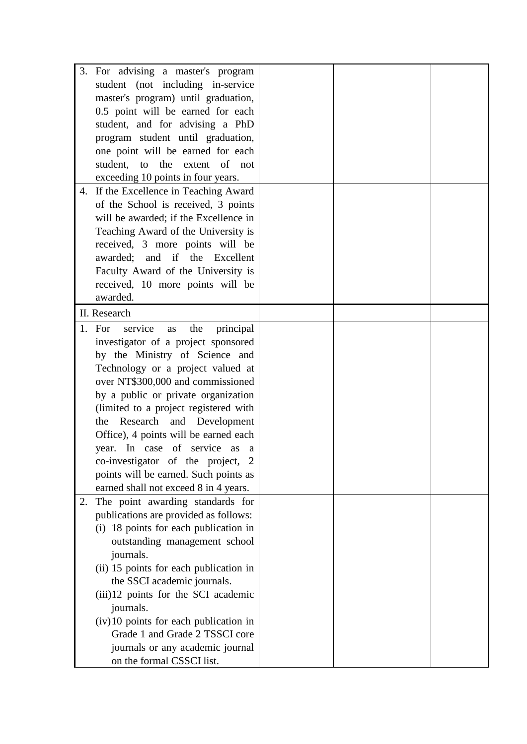|    | 3. For advising a master's program          |  |  |
|----|---------------------------------------------|--|--|
|    |                                             |  |  |
|    | student (not including in-service           |  |  |
|    | master's program) until graduation,         |  |  |
|    | 0.5 point will be earned for each           |  |  |
|    | student, and for advising a PhD             |  |  |
|    | program student until graduation,           |  |  |
|    | one point will be earned for each           |  |  |
|    | student, to the extent of not               |  |  |
|    | exceeding 10 points in four years.          |  |  |
| 4. | If the Excellence in Teaching Award         |  |  |
|    | of the School is received, 3 points         |  |  |
|    | will be awarded; if the Excellence in       |  |  |
|    | Teaching Award of the University is         |  |  |
|    | received, 3 more points will be             |  |  |
|    | awarded; and if the Excellent               |  |  |
|    | Faculty Award of the University is          |  |  |
|    | received, 10 more points will be            |  |  |
|    | awarded.                                    |  |  |
|    | II. Research                                |  |  |
|    | service<br>1. For<br>the<br>principal<br>as |  |  |
|    | investigator of a project sponsored         |  |  |
|    | by the Ministry of Science and              |  |  |
|    | Technology or a project valued at           |  |  |
|    | over NT\$300,000 and commissioned           |  |  |
|    | by a public or private organization         |  |  |
|    | (limited to a project registered with       |  |  |
|    | Research and Development<br>the             |  |  |
|    | Office), 4 points will be earned each       |  |  |
|    | year. In case of service as a               |  |  |
|    | co-investigator of the project, 2           |  |  |
|    |                                             |  |  |
|    | points will be earned. Such points as       |  |  |
|    | earned shall not exceed 8 in 4 years.       |  |  |
| 2. | The point awarding standards for            |  |  |
|    | publications are provided as follows:       |  |  |
|    | (i) 18 points for each publication in       |  |  |
|    | outstanding management school               |  |  |
|    | journals.                                   |  |  |
|    | (ii) 15 points for each publication in      |  |  |
|    | the SSCI academic journals.                 |  |  |
|    | (iii)12 points for the SCI academic         |  |  |
|    | journals.                                   |  |  |
|    | $(iv)$ 10 points for each publication in    |  |  |
|    | Grade 1 and Grade 2 TSSCI core              |  |  |
|    | journals or any academic journal            |  |  |
|    | on the formal CSSCI list.                   |  |  |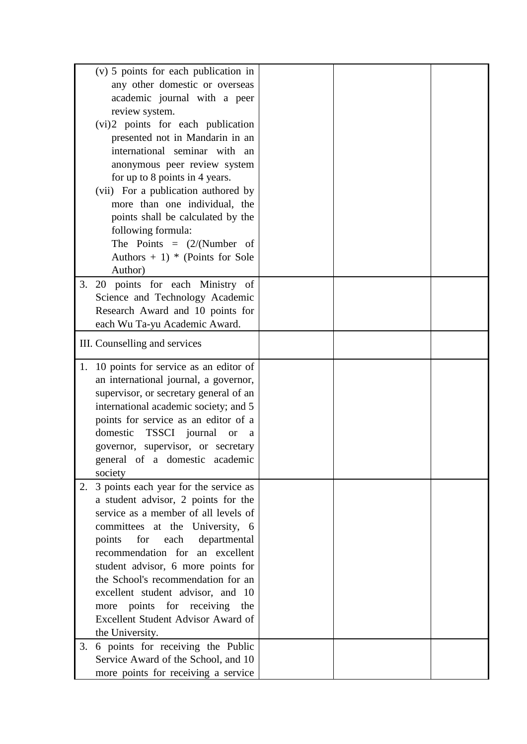| (v) 5 points for each publication in        |  |  |
|---------------------------------------------|--|--|
| any other domestic or overseas              |  |  |
| academic journal with a peer                |  |  |
| review system.                              |  |  |
| (vi)2 points for each publication           |  |  |
| presented not in Mandarin in an             |  |  |
| international seminar with an               |  |  |
| anonymous peer review system                |  |  |
| for up to 8 points in 4 years.              |  |  |
| (vii) For a publication authored by         |  |  |
| more than one individual, the               |  |  |
| points shall be calculated by the           |  |  |
| following formula:                          |  |  |
| The Points = $(2/(Number of$                |  |  |
| Authors $+1$ <sup>*</sup> (Points for Sole  |  |  |
| Author)                                     |  |  |
| 20 points for each Ministry of<br>3.        |  |  |
| Science and Technology Academic             |  |  |
| Research Award and 10 points for            |  |  |
| each Wu Ta-yu Academic Award.               |  |  |
|                                             |  |  |
| III. Counselling and services               |  |  |
|                                             |  |  |
| 10 points for service as an editor of<br>1. |  |  |
| an international journal, a governor,       |  |  |
| supervisor, or secretary general of an      |  |  |
| international academic society; and 5       |  |  |
| points for service as an editor of a        |  |  |
| domestic<br>TSSCI journal<br><b>or</b><br>a |  |  |
| governor, supervisor, or secretary          |  |  |
| general of a domestic academic              |  |  |
| society                                     |  |  |
| 3 points each year for the service as<br>2. |  |  |
| a student advisor, 2 points for the         |  |  |
| service as a member of all levels of        |  |  |
| committees at the University, 6             |  |  |
| for each<br>departmental<br>points          |  |  |
| recommendation for an excellent             |  |  |
| student advisor, 6 more points for          |  |  |
| the School's recommendation for an          |  |  |
| excellent student advisor, and 10           |  |  |
| more points for receiving the               |  |  |
| Excellent Student Advisor Award of          |  |  |
| the University.                             |  |  |
| 6 points for receiving the Public<br>3.     |  |  |
| Service Award of the School, and 10         |  |  |
| more points for receiving a service         |  |  |